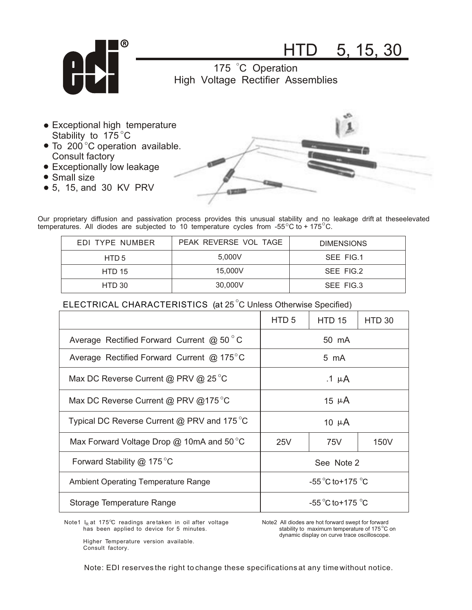

HTD 5, 15, 30

175 °C Operation High Voltage Rectifier Assemblies

- Stability to 175 $\degree$ C Exceptional high temperature
- To 200 $^{\circ}$ C operation available. Consult factory
- Exceptionally low leakage
- Small size
- 5, 15, and 30 KV PRV



Our proprietary diffusion and passivation process provides this unusual stability and no leakage drift at theseelevated temperatures. All diodes are subjected to 10 temperature cycles from -55 $\mathrm{^{\circ}C}$  to + 175 $\mathrm{^{\circ}C}$ .

| EDI TYPE NUMBER | PEAK REVERSE VOL TAGE | <b>DIMENSIONS</b> |
|-----------------|-----------------------|-------------------|
| HTD 5           | 5.000V                | SEE FIG.1         |
| <b>HTD 15</b>   | 15,000V               | SEE FIG.2         |
| HTD 30          | 30,000V               | SEE FIG.3         |

## $\mathsf{ELECTRICAL}\>$  <code>CHARACTERISTICS (at 25 $^\circ$ C Unless Otherwise Specified)</code>

|                                                      | HTD <sub>5</sub>                      | <b>HTD 15</b> | HTD 30 |
|------------------------------------------------------|---------------------------------------|---------------|--------|
| Average Rectified Forward Current @ $50^{\circ}$ C   | 50 mA                                 |               |        |
| Average Rectified Forward Current @ 175 $^{\circ}$ C | 5 mA                                  |               |        |
| Max DC Reverse Current @ PRV @ 25 $^{\circ}$ C       | .1 $\mu$ A                            |               |        |
| Max DC Reverse Current @ PRV @175 °C                 | 15 $\mu$ A                            |               |        |
| Typical DC Reverse Current $@$ PRV and 175 °C        | 10 $\mu$ A                            |               |        |
| Max Forward Voltage Drop $@$ 10mA and 50 °C          | 25V                                   | 75V           | 150V   |
| Forward Stability $@$ 175 °C                         | See Note 2                            |               |        |
| <b>Ambient Operating Temperature Range</b>           | $-55^{\circ}$ C to + 175 $^{\circ}$ C |               |        |
| Storage Temperature Range                            | -55 $^{\circ}$ C to+175 $^{\circ}$ C  |               |        |

Note1  $I_R$  at 175 $^{\circ}$ C readings are taken in oil after voltage has been applied to device for 5 minutes.

Note2 All diodes are hot forward swept for forward stability to maximum temperature of 175 $\mathrm{^{\circ}C}$  on dynamic display on curve trace oscilloscope.

 Higher Temperature version available. Consult factory.

Note: EDI reserves the right to change these specifications at any time without notice.